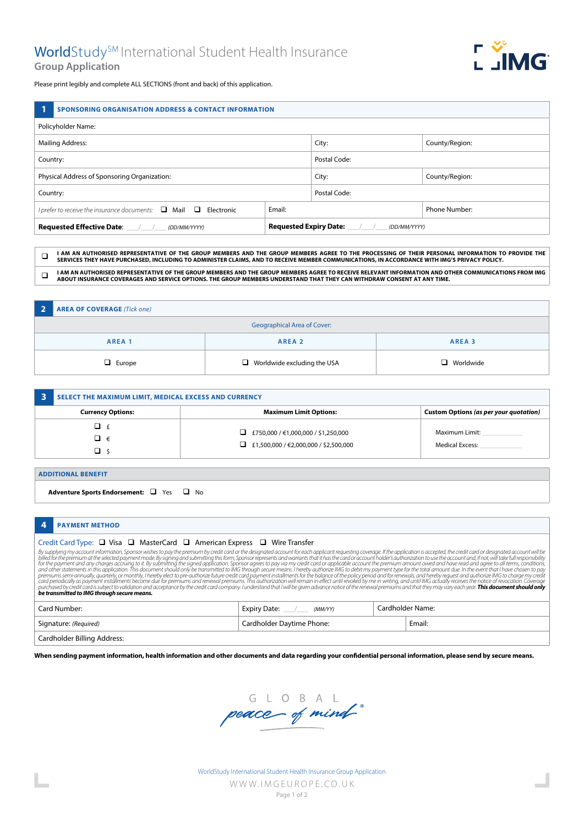

Please print legibly and complete ALL SECTIONS (front and back) of this application.

|                                              | <b>SPONSORING ORGANISATION ADDRESS &amp; CONTACT INFORMATION</b>           |              |                |               |
|----------------------------------------------|----------------------------------------------------------------------------|--------------|----------------|---------------|
| Policyholder Name:                           |                                                                            |              |                |               |
| <b>Mailing Address:</b>                      |                                                                            | City:        | County/Region: |               |
| Country:                                     |                                                                            | Postal Code: |                |               |
| Physical Address of Sponsoring Organization: |                                                                            | City:        | County/Region: |               |
| Country:                                     |                                                                            | Postal Code: |                |               |
|                                              | I prefer to receive the insurance documents: $\Box$ Mail $\Box$ Electronic | Email:       |                | Phone Number: |
|                                              |                                                                            | (DD/MM/YYYY) |                |               |

q **I AM AN AUTHORISED REPRESENTATIVE OF THE GROUP MEMBERS AND THE GROUP MEMBERS AGREE TO THE PROCESSING OF THEIR PERSONAL INFORMATION TO PROVIDE THE SERVICES THEY HAVE PURCHASED, INCLUDING TO ADMINISTER CLAIMS, AND TO RECEIVE MEMBER COMMUNICATIONS, IN ACCORDANCE WITH IMG'S PRIVACY POLICY.**

**Q** I AM AN AUTHORISED REPRESENTATIVE OF THE GROUP MEMBERS AND THE GROUP MEMBERS AGREE TO RECEIVE RELEVANT INFORMATION AND OTHER COMMUNICATIONS FROM IMG <br>
and the communications and all the company and and the company and **ABOUT INSURANCE COVERAGES AND SERVICE OPTIONS. THE GROUP MEMBERS UNDERSTAND THAT THEY CAN WITHDRAW CONSENT AT ANY TIME.**

| $\overline{2}$ | <b>AREA OF COVERAGE (Tick one)</b> |                                    |                  |  |
|----------------|------------------------------------|------------------------------------|------------------|--|
|                | <b>Geographical Area of Cover:</b> |                                    |                  |  |
|                | AREA <sub>1</sub>                  | AREA 2                             | AREA 3           |  |
|                | $\Box$ Europe                      | $\Box$ Worldwide excluding the USA | $\Box$ Worldwide |  |

| SELECT THE MAXIMUM LIMIT, MEDICAL EXCESS AND CURRENCY |                                                                                            |                                          |
|-------------------------------------------------------|--------------------------------------------------------------------------------------------|------------------------------------------|
| <b>Currency Options:</b>                              | <b>Maximum Limit Options:</b>                                                              | Custom Options (as per your quotation)   |
| a f<br>⊐ €                                            | $\Box$ £750,000 / €1,000,000 / \$1,250,000<br>$\Box$ £1,500,000 / €2,000,000 / \$2,500,000 | Maximum Limit:<br><b>Medical Excess:</b> |

## **ADDITIONAL BENEFIT**

**Adventure Sports Endorsement:** Q Yes Q No

# **4 PAYMENT METHOD**

# Credit Card Type: Q Visa Q MasterCard Q American Express Q Wire Transfer

By supplying my account information, Sponsor wishes to pay the premium by credit card or the designated account for each applicant requesting coverage. If the application is accepted, the credit card or designated account *be transmitted to IMG through secure means.*

| Card Number:                | Expiry Date:<br>(MM/YY)   |  | Cardholder Name: |
|-----------------------------|---------------------------|--|------------------|
| Signature: (Required)       | Cardholder Daytime Phone: |  | Email:           |
| Cardholder Billing Address: |                           |  |                  |

**When sending payment information, health information and other documents and data regarding your confidential personal information, please send by secure means.**